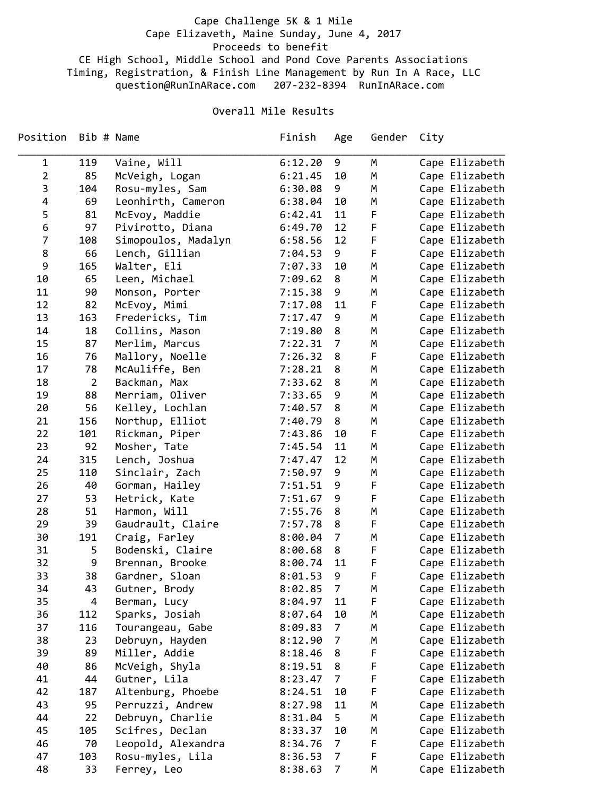## Cape Challenge 5K & 1 Mile Cape Elizaveth, Maine Sunday, June 4, 2017 Proceeds to benefit CE High School, Middle School and Pond Cove Parents Associations Timing, Registration, & Finish Line Management by Run In A Race, LLC question@RunInARace.com 207‐232‐8394 RunInARace.com

## Overall Mile Results

| Position       | Bib # Name     |                     | Finish  | Age            | Gender      | City           |
|----------------|----------------|---------------------|---------|----------------|-------------|----------------|
| 1              | 119            | Vaine, Will         | 6:12.20 | 9              | М           | Cape Elizabeth |
| $\overline{2}$ | 85             | McVeigh, Logan      | 6:21.45 | 10             | М           | Cape Elizabeth |
| 3              | 104            | Rosu-myles, Sam     | 6:30.08 | 9              | М           | Cape Elizabeth |
| 4              | 69             | Leonhirth, Cameron  | 6:38.04 | 10             | М           | Cape Elizabeth |
| 5              | 81             | McEvoy, Maddie      | 6:42.41 | 11             | F           | Cape Elizabeth |
| 6              | 97             | Pivirotto, Diana    | 6:49.70 | 12             | F           | Cape Elizabeth |
| $\overline{7}$ | 108            | Simopoulos, Madalyn | 6:58.56 | 12             | F           | Cape Elizabeth |
| 8              | 66             | Lench, Gillian      | 7:04.53 | 9              | F           | Cape Elizabeth |
| 9              | 165            | Walter, Eli         | 7:07.33 | 10             | М           | Cape Elizabeth |
| 10             | 65             | Leen, Michael       | 7:09.62 | 8              | М           | Cape Elizabeth |
| 11             | 90             | Monson, Porter      | 7:15.38 | 9              | M           | Cape Elizabeth |
| 12             | 82             | McEvoy, Mimi        | 7:17.08 | 11             | F           | Cape Elizabeth |
| 13             | 163            | Fredericks, Tim     | 7:17.47 | 9              | М           | Cape Elizabeth |
| 14             | 18             | Collins, Mason      | 7:19.80 | 8              | М           | Cape Elizabeth |
| 15             | 87             | Merlim, Marcus      | 7:22.31 | $\overline{7}$ | М           | Cape Elizabeth |
| 16             | 76             | Mallory, Noelle     | 7:26.32 | 8              | F           | Cape Elizabeth |
| 17             | 78             | McAuliffe, Ben      | 7:28.21 | 8              | М           | Cape Elizabeth |
| 18             | $\overline{2}$ | Backman, Max        | 7:33.62 | 8              | М           | Cape Elizabeth |
| 19             | 88             | Merriam, Oliver     | 7:33.65 | 9              | М           | Cape Elizabeth |
| 20             | 56             | Kelley, Lochlan     | 7:40.57 | 8              | М           | Cape Elizabeth |
| 21             | 156            | Northup, Elliot     | 7:40.79 | 8              | М           | Cape Elizabeth |
| 22             | 101            | Rickman, Piper      | 7:43.86 | 10             | F           | Cape Elizabeth |
| 23             | 92             | Mosher, Tate        | 7:45.54 | 11             | М           | Cape Elizabeth |
| 24             | 315            | Lench, Joshua       | 7:47.47 | 12             | М           | Cape Elizabeth |
| 25             | 110            | Sinclair, Zach      | 7:50.97 | 9              | М           | Cape Elizabeth |
| 26             | 40             | Gorman, Hailey      | 7:51.51 | 9              | F           | Cape Elizabeth |
| 27             | 53             | Hetrick, Kate       | 7:51.67 | 9              | $\mathsf F$ | Cape Elizabeth |
| 28             | 51             | Harmon, Will        | 7:55.76 | 8              | М           | Cape Elizabeth |
| 29             | 39             | Gaudrault, Claire   | 7:57.78 | 8              | F           | Cape Elizabeth |
| 30             | 191            | Craig, Farley       | 8:00.04 | $\overline{7}$ | M           | Cape Elizabeth |
| 31             | 5              | Bodenski, Claire    | 8:00.68 | 8              | F           | Cape Elizabeth |
| 32             | 9              | Brennan, Brooke     | 8:00.74 | 11             | F           | Cape Elizabeth |
| 33             | 38             | Gardner, Sloan      | 8:01.53 | 9              | F           | Cape Elizabeth |
| 34             | 43             | Gutner, Brody       | 8:02.85 | 7              | М           | Cape Elizabeth |
| 35             | 4              | Berman, Lucy        | 8:04.97 | 11             | F           | Cape Elizabeth |
| 36             | 112            | Sparks, Josiah      | 8:07.64 | 10             | М           | Cape Elizabeth |
| 37             | 116            | Tourangeau, Gabe    | 8:09.83 | $\overline{7}$ | М           | Cape Elizabeth |
| 38             | 23             | Debruyn, Hayden     | 8:12.90 | $\overline{7}$ | М           | Cape Elizabeth |
| 39             | 89             | Miller, Addie       | 8:18.46 | 8              | F           | Cape Elizabeth |
| 40             | 86             | McVeigh, Shyla      | 8:19.51 | 8              | F           | Cape Elizabeth |
| 41             | 44             | Gutner, Lila        | 8:23.47 | 7              | F           | Cape Elizabeth |
| 42             | 187            | Altenburg, Phoebe   | 8:24.51 | 10             | $\mathsf F$ | Cape Elizabeth |
| 43             | 95             | Perruzzi, Andrew    | 8:27.98 | 11             | М           | Cape Elizabeth |
| 44             | 22             | Debruyn, Charlie    | 8:31.04 | 5              | М           | Cape Elizabeth |
| 45             | 105            | Scifres, Declan     | 8:33.37 | 10             | М           | Cape Elizabeth |
| 46             | 70             | Leopold, Alexandra  | 8:34.76 | $\overline{7}$ | F           | Cape Elizabeth |
| 47             | 103            | Rosu-myles, Lila    | 8:36.53 | 7              | F           | Cape Elizabeth |
| 48             | 33             | Ferrey, Leo         | 8:38.63 | $\overline{7}$ | М           | Cape Elizabeth |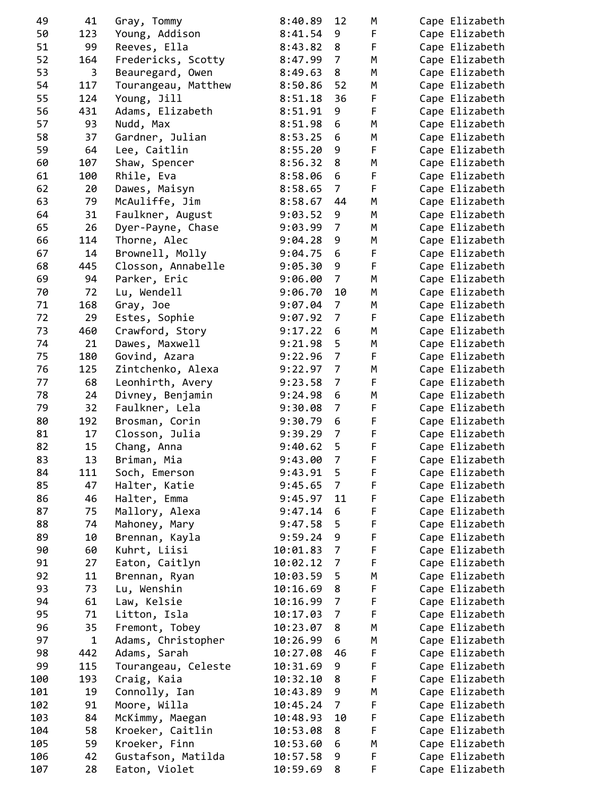| 49  | 41          | Gray, Tommy         | 8:40.89            | 12             | M      | Cape Elizabeth |
|-----|-------------|---------------------|--------------------|----------------|--------|----------------|
| 50  | 123         | Young, Addison      | 8:41.54            | 9              | F      | Cape Elizabeth |
| 51  | 99          | Reeves, Ella        | 8:43.82            | 8              | F      | Cape Elizabeth |
| 52  | 164         | Fredericks, Scotty  | 8:47.99            | 7              | M      | Cape Elizabeth |
| 53  | 3           | Beauregard, Owen    | 8:49.63            | 8              | M      | Cape Elizabeth |
| 54  | 117         | Tourangeau, Matthew | 8:50.86            | 52             | М      | Cape Elizabeth |
| 55  | 124         | Young, Jill         | 8:51.18            | 36             | F      | Cape Elizabeth |
| 56  | 431         | Adams, Elizabeth    | 8:51.91            | 9              | F      | Cape Elizabeth |
| 57  | 93          | Nudd, Max           | 8:51.98            | 6              | M      | Cape Elizabeth |
| 58  | 37          | Gardner, Julian     | 8:53.25            | 6              | М      | Cape Elizabeth |
| 59  | 64          | Lee, Caitlin        | 8:55.20            | 9              | F      | Cape Elizabeth |
| 60  | 107         | Shaw, Spencer       | 8:56.32            | 8              | М      | Cape Elizabeth |
| 61  | 100         | Rhile, Eva          | 8:58.06            | 6              | F      | Cape Elizabeth |
| 62  | 20          | Dawes, Maisyn       | 8:58.65            | 7              | F      | Cape Elizabeth |
| 63  | 79          | McAuliffe, Jim      | 8:58.67            | 44             | M      | Cape Elizabeth |
| 64  | 31          | Faulkner, August    | 9:03.52            | 9              | M      | Cape Elizabeth |
| 65  | 26          |                     |                    | 7              | М      |                |
|     |             | Dyer-Payne, Chase   | 9:03.99<br>9:04.28 |                |        | Cape Elizabeth |
| 66  | 114         | Thorne, Alec        |                    | 9              | М      | Cape Elizabeth |
| 67  | 14          | Brownell, Molly     | 9:04.75            | 6              | F      | Cape Elizabeth |
| 68  | 445         | Closson, Annabelle  | 9:05.30            | 9              | F      | Cape Elizabeth |
| 69  | 94          | Parker, Eric        | 9:06.00            | 7              | М      | Cape Elizabeth |
| 70  | 72          | Lu, Wendell         | 9:06.70            | 10             | M      | Cape Elizabeth |
| 71  | 168         | Gray, Joe           | 9:07.04            | 7              | M      | Cape Elizabeth |
| 72  | 29          | Estes, Sophie       | 9:07.92            | 7              | F      | Cape Elizabeth |
| 73  | 460         | Crawford, Story     | 9:17.22            | 6              | М      | Cape Elizabeth |
| 74  | 21          | Dawes, Maxwell      | 9:21.98            | 5              | М      | Cape Elizabeth |
| 75  | 180         | Govind, Azara       | 9:22.96            | $\overline{7}$ | F      | Cape Elizabeth |
| 76  | 125         | Zintchenko, Alexa   | 9:22.97            | 7              | М      | Cape Elizabeth |
| 77  | 68          | Leonhirth, Avery    | 9:23.58            | 7              | F      | Cape Elizabeth |
| 78  | 24          | Divney, Benjamin    | 9:24.98            | 6              | М      | Cape Elizabeth |
| 79  | 32          | Faulkner, Lela      | 9:30.08            | 7              | F      | Cape Elizabeth |
| 80  | 192         | Brosman, Corin      | 9:30.79            | 6              | F      | Cape Elizabeth |
| 81  | 17          | Closson, Julia      | 9:39.29            | $\overline{7}$ | F      | Cape Elizabeth |
| 82  | 15          | Chang, Anna         | 9:40.62            | 5              | F      | Cape Elizabeth |
| 83  | 13          | Briman, Mia         | 9:43.00            | 7              | F      | Cape Elizabeth |
| 84  | 111         | Soch, Emerson       | 9:43.91            | 5              | F      | Cape Elizabeth |
| 85  | 47          | Halter, Katie       | 9:45.65            | $\overline{7}$ | F      | Cape Elizabeth |
| 86  | 46          | Halter, Emma        | 9:45.97            | 11             | F      | Cape Elizabeth |
| 87  | 75          | Mallory, Alexa      | 9:47.14            | 6              | F      | Cape Elizabeth |
| 88  | 74          | Mahoney, Mary       | 9:47.58            | 5              | F      | Cape Elizabeth |
| 89  | 10          | Brennan, Kayla      | 9:59.24            | 9              | F      | Cape Elizabeth |
| 90  | 60          | Kuhrt, Liisi        | 10:01.83           | $\overline{7}$ | F      | Cape Elizabeth |
| 91  | 27          | Eaton, Caitlyn      | 10:02.12           | 7              | F      | Cape Elizabeth |
| 92  | 11          |                     | 10:03.59           | 5              | M      | Cape Elizabeth |
| 93  | 73          | Brennan, Ryan       |                    |                |        |                |
|     |             | Lu, Wenshin         | 10:16.69           | 8              | F      | Cape Elizabeth |
| 94  | 61          | Law, Kelsie         | 10:16.99           | 7              | F      | Cape Elizabeth |
| 95  | 71          | Litton, Isla        | 10:17.03           | 7              | F      | Cape Elizabeth |
| 96  | 35          | Fremont, Tobey      | 10:23.07           | 8              | M      | Cape Elizabeth |
| 97  | $\mathbf 1$ | Adams, Christopher  | 10:26.99           | 6              | М      | Cape Elizabeth |
| 98  | 442         | Adams, Sarah        | 10:27.08           | 46             | F      | Cape Elizabeth |
| 99  | 115         | Tourangeau, Celeste | 10:31.69           | 9              | F      | Cape Elizabeth |
| 100 | 193         | Craig, Kaia         | 10:32.10           | 8              | F      | Cape Elizabeth |
| 101 | 19          | Connolly, Ian       | 10:43.89           | 9              | М      | Cape Elizabeth |
| 102 | 91          | Moore, Willa        | 10:45.24           | $\overline{7}$ | F      | Cape Elizabeth |
| 103 | 84          | McKimmy, Maegan     | 10:48.93           | 10             | F      | Cape Elizabeth |
| 104 | 58          | Kroeker, Caitlin    | 10:53.08           | 8              | F      | Cape Elizabeth |
| 105 | 59          | Kroeker, Finn       | 10:53.60           | 6              | M      | Cape Elizabeth |
| 106 |             |                     |                    |                |        |                |
|     | 42          | Gustafson, Matilda  | 10:57.58           | 9              | F<br>F | Cape Elizabeth |